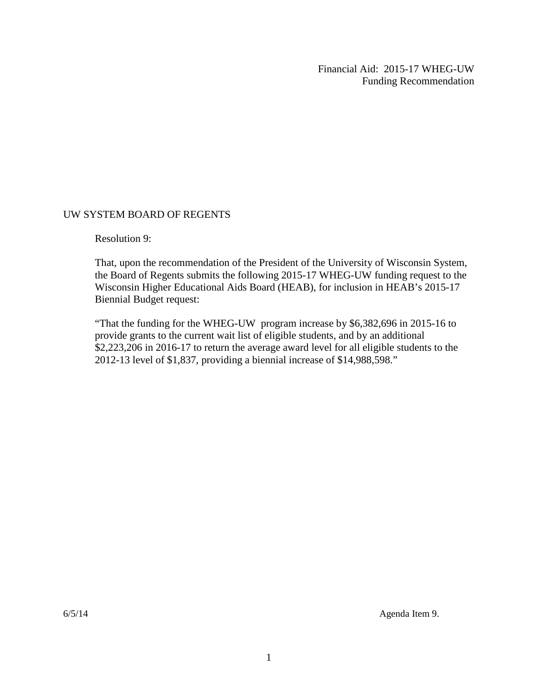Financial Aid: 2015-17 WHEG-UW Funding Recommendation

#### UW SYSTEM BOARD OF REGENTS

Resolution 9:

That, upon the recommendation of the President of the University of Wisconsin System, the Board of Regents submits the following 2015-17 WHEG-UW funding request to the Wisconsin Higher Educational Aids Board (HEAB), for inclusion in HEAB's 2015-17 Biennial Budget request:

"That the funding for the WHEG-UW program increase by \$6,382,696 in 2015-16 to provide grants to the current wait list of eligible students, and by an additional \$2,223,206 in 2016-17 to return the average award level for all eligible students to the 2012-13 level of \$1,837, providing a biennial increase of \$14,988,598."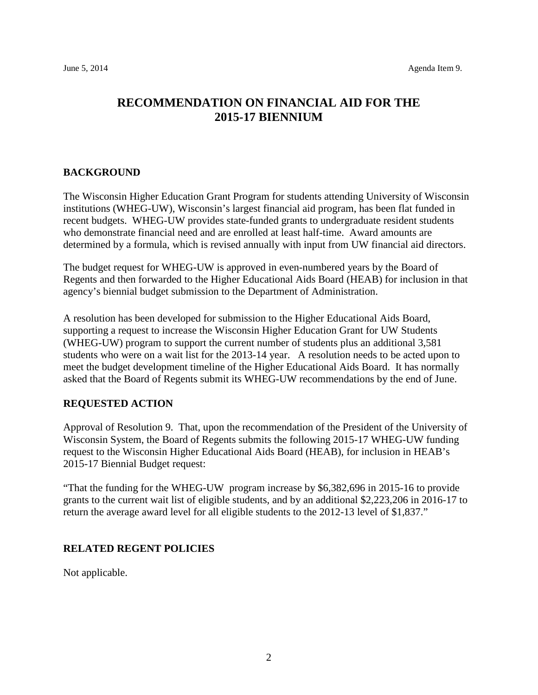### **RECOMMENDATION ON FINANCIAL AID FOR THE 2015-17 BIENNIUM**

#### **BACKGROUND**

The Wisconsin Higher Education Grant Program for students attending University of Wisconsin institutions (WHEG-UW), Wisconsin's largest financial aid program, has been flat funded in recent budgets. WHEG-UW provides state-funded grants to undergraduate resident students who demonstrate financial need and are enrolled at least half-time. Award amounts are determined by a formula, which is revised annually with input from UW financial aid directors.

The budget request for WHEG-UW is approved in even-numbered years by the Board of Regents and then forwarded to the Higher Educational Aids Board (HEAB) for inclusion in that agency's biennial budget submission to the Department of Administration.

A resolution has been developed for submission to the Higher Educational Aids Board, supporting a request to increase the Wisconsin Higher Education Grant for UW Students (WHEG-UW) program to support the current number of students plus an additional 3,581 students who were on a wait list for the 2013-14 year. A resolution needs to be acted upon to meet the budget development timeline of the Higher Educational Aids Board. It has normally asked that the Board of Regents submit its WHEG-UW recommendations by the end of June.

#### **REQUESTED ACTION**

Approval of Resolution 9. That, upon the recommendation of the President of the University of Wisconsin System, the Board of Regents submits the following 2015-17 WHEG-UW funding request to the Wisconsin Higher Educational Aids Board (HEAB), for inclusion in HEAB's 2015-17 Biennial Budget request:

"That the funding for the WHEG-UW program increase by \$6,382,696 in 2015-16 to provide grants to the current wait list of eligible students, and by an additional \$2,223,206 in 2016-17 to return the average award level for all eligible students to the 2012-13 level of \$1,837."

#### **RELATED REGENT POLICIES**

Not applicable.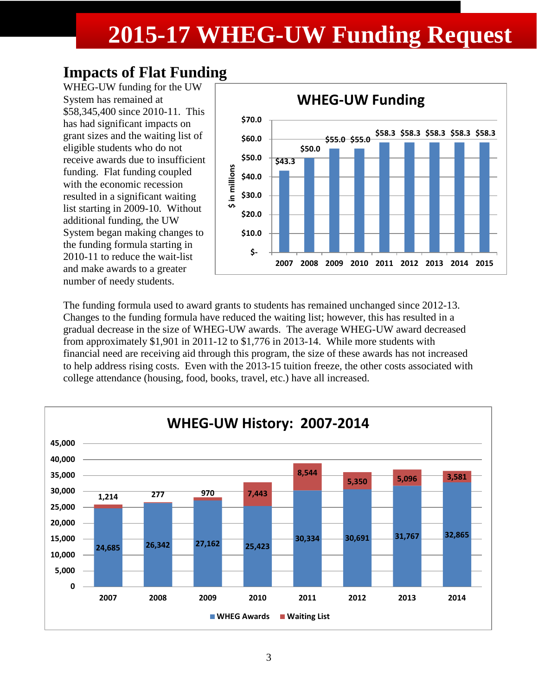# **2015-17 WHEG-UW Funding Request**

## **Impacts of Flat Funding**

WHEG-UW funding for the UW System has remained at \$58,345,400 since 2010-11. This has had significant impacts on grant sizes and the waiting list of eligible students who do not receive awards due to insufficient funding. Flat funding coupled with the economic recession resulted in a significant waiting list starting in 2009-10. Without additional funding, the UW System began making changes to the funding formula starting in 2010-11 to reduce the wait-list and make awards to a greater number of needy students.



The funding formula used to award grants to students has remained unchanged since 2012-13. Changes to the funding formula have reduced the waiting list; however, this has resulted in a gradual decrease in the size of WHEG-UW awards. The average WHEG-UW award decreased from approximately \$1,901 in 2011-12 to \$1,776 in 2013-14. While more students with financial need are receiving aid through this program, the size of these awards has not increased to help address rising costs. Even with the 2013-15 tuition freeze, the other costs associated with college attendance (housing, food, books, travel, etc.) have all increased.